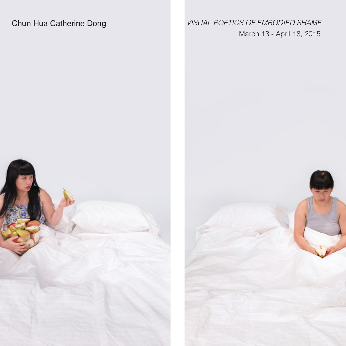## Chun Hua Catherine Dong *VISUAL POETICS OF EMBODIED SHAME* March 13 - April 18, 2015

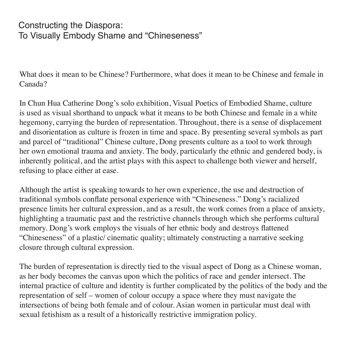## Constructing the Diaspora: To Visually Embody Shame and "Chineseness"

What does it mean to be Chinese? Furthermore, what does it mean to be Chinese and female in Canada?

In Chun Hua Catherine Dong's solo exhibition, Visual Poetics of Embodied Shame, culture is used as visual shorthand to unpack what it means to be both Chinese and female in a white hegemony, carrying the burden of representation. Throughout, there is a sense of displacement and disorientation as culture is frozen in time and space. By presenting several symbols as part and parcel of "traditional" Chinese culture, Dong presents culture as a tool to work through her own emotional trauma and anxiety. The body, particularly the ethnic and gendered body, is inherently political, and the artist plays with this aspect to challenge both viewer and herself, refusing to place either at ease.

Although the artist is speaking towards to her own experience, the use and destruction of traditional symbols conflate personal experience with "Chineseness." Dong's racialized presence limits her cultural expression, and as a result, the work comes from a place of anxiety, highlighting a traumatic past and the restrictive channels through which she performs cultural memory. Dong's work employs the visuals of her ethnic body and destroys flattened "Chineseness" of a plastic/ cinematic quality; ultimately constructing a narrative seeking closure through cultural expression.

The burden of representation is directly tied to the visual aspect of Dong as a Chinese woman, as her body becomes the canvas upon which the politics of race and gender intersect. The internal practice of culture and identity is further complicated by the politics of the body and the representation of self – women of colour occupy a space where they must navigate the intersections of being both female and of colour. Asian women in particular must deal with sexual fetishism as a result of a historically restrictive immigration policy.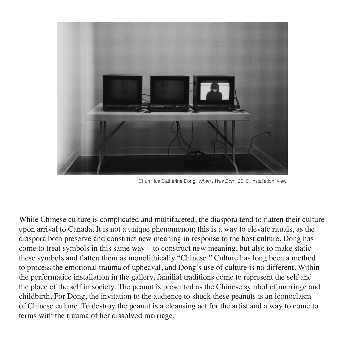

Chun Hua Catherine Dong, *When I Was Born*, 2010. Installation view.

While Chinese culture is complicated and multifaceted, the diaspora tend to flatten their culture upon arrival to Canada. It is not a unique phenomenon; this is a way to elevate rituals, as the diaspora both preserve and construct new meaning in response to the host culture. Dong has come to treat symbols in this same  $way - to$  construct new meaning, but also to make static these symbols and flatten them as monolithically "Chinese." Culture has long been a method to process the emotional trauma of upheaval, and Dong's use of culture is no different. Within the performatice installation in the gallery, familial traditions come to represent the self and the place of the self in society. The peanut is presented as the Chinese symbol of marriage and childbirth. For Dong, the invitation to the audience to shuck these peanuts is an iconoclasm of Chinese culture. To destroy the peanut is a cleansing act for the artist and a way to come to terms with the trauma of her dissolved marriage.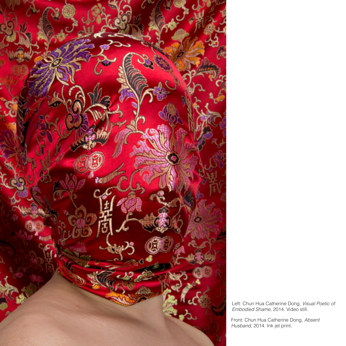

Left: Chun Hua Catherine Dong, *Visual Poetic of Embodied Shame,* 2014. Video still.

Front: Chun Hua Catherine Dong, *Absent Husband,* 2014. Ink jet print.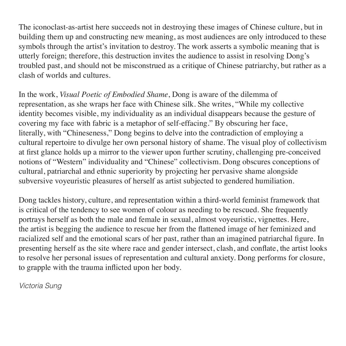The iconoclast-as-artist here succeeds not in destroying these images of Chinese culture, but in building them up and constructing new meaning, as most audiences are only introduced to these symbols through the artist's invitation to destroy. The work asserts a symbolic meaning that is utterly foreign; therefore, this destruction invites the audience to assist in resolving Dong's troubled past, and should not be misconstrued as a critique of Chinese patriarchy, but rather as a clash of worlds and cultures.

In the work, *Visual Poetic of Embodied Shame*, Dong is aware of the dilemma of representation, as she wraps her face with Chinese silk. She writes, "While my collective identity becomes visible, my individuality as an individual disappears because the gesture of covering my face with fabric is a metaphor of self-effacing." By obscuring her face, literally, with "Chineseness," Dong begins to delve into the contradiction of employing a cultural repertoire to divulge her own personal history of shame. The visual ploy of collectivism at first glance holds up a mirror to the viewer upon further scrutiny, challenging pre-conceived notions of "Western" individuality and "Chinese" collectivism. Dong obscures conceptions of cultural, patriarchal and ethnic superiority by projecting her pervasive shame alongside subversive voyeuristic pleasures of herself as artist subjected to gendered humiliation.

Dong tackles history, culture, and representation within a third-world feminist framework that is critical of the tendency to see women of colour as needing to be rescued. She frequently portrays herself as both the male and female in sexual, almost voyeuristic, vignettes. Here, the artist is begging the audience to rescue her from the flattened image of her feminized and racialized self and the emotional scars of her past, rather than an imagined patriarchal figure. In presenting herself as the site where race and gender intersect, clash, and conflate, the artist looks to resolve her personal issues of representation and cultural anxiety. Dong performs for closure, to grapple with the trauma inflicted upon her body.

*Victoria Sung*